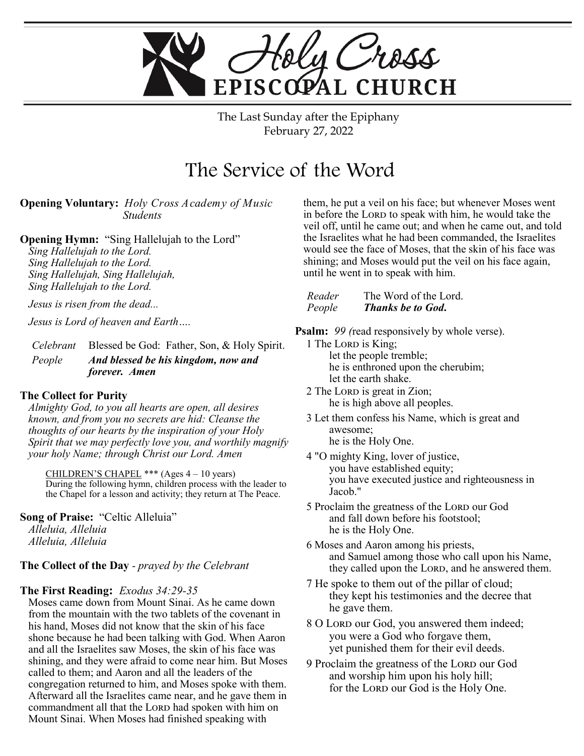

The Last Sunday after the Epiphany February 27, 2022

# The Service of the Word

**Opening Voluntary:** *Holy Cross Academy of Music Students*

**Opening Hymn:** "Sing Hallelujah to the Lord"

*Sing Hallelujah to the Lord. Sing Hallelujah to the Lord. Sing Hallelujah, Sing Hallelujah, Sing Hallelujah to the Lord.*

*Jesus is risen from the dead...*

*Jesus is Lord of heaven and Earth….*

*Celebrant* Blessed be God: Father, Son, & Holy Spirit. *People And blessed be his kingdom, now and forever. Amen*

#### **The Collect for Purity**

*Almighty God, to you all hearts are open, all desires known, and from you no secrets are hid: Cleanse the thoughts of our hearts by the inspiration of your Holy Spirit that we may perfectly love you, and worthily magnify your holy Name; through Christ our Lord. Amen* 

CHILDREN'S CHAPEL \*\*\* (Ages 4 – 10 years) During the following hymn, children process with the leader to the Chapel for a lesson and activity; they return at The Peace.

#### **Song of Praise:** "Celtic Alleluia"

*Alleluia, Alleluia Alleluia, Alleluia*

#### **The Collect of the Day** - *prayed by the Celebrant*

#### **The First Reading:** *Exodus 34:29-35*

Moses came down from Mount Sinai. As he came down from the mountain with the two tablets of the covenant in his hand, Moses did not know that the skin of his face shone because he had been talking with God. When Aaron and all the Israelites saw Moses, the skin of his face was shining, and they were afraid to come near him. But Moses called to them; and Aaron and all the leaders of the congregation returned to him, and Moses spoke with them. Afterward all the Israelites came near, and he gave them in commandment all that the LORD had spoken with him on Mount Sinai. When Moses had finished speaking with

them, he put a veil on his face; but whenever Moses went in before the LORD to speak with him, he would take the veil off, until he came out; and when he came out, and told the Israelites what he had been commanded, the Israelites would see the face of Moses, that the skin of his face was shining; and Moses would put the veil on his face again, until he went in to speak with him.

| Reader | The Word of the Lord.    |
|--------|--------------------------|
| People | <b>Thanks be to God.</b> |

**Psalm:** *99 (*read responsively by whole verse).

1 The Lorp is King; let the people tremble; he is enthroned upon the cherubim; let the earth shake.

- 2 The LORD is great in Zion: he is high above all peoples.
- 3 Let them confess his Name, which is great and awesome; he is the Holy One.
- 4 "O mighty King, lover of justice, you have established equity; you have executed justice and righteousness in Jacob."
- 5 Proclaim the greatness of the LORD our God and fall down before his footstool; he is the Holy One.

6 Moses and Aaron among his priests, and Samuel among those who call upon his Name, they called upon the LORD, and he answered them.

- 7 He spoke to them out of the pillar of cloud; they kept his testimonies and the decree that he gave them.
- 8 O Lord our God, you answered them indeed; you were a God who forgave them, yet punished them for their evil deeds.
- 9 Proclaim the greatness of the LORD our God and worship him upon his holy hill; for the Lord our God is the Holy One.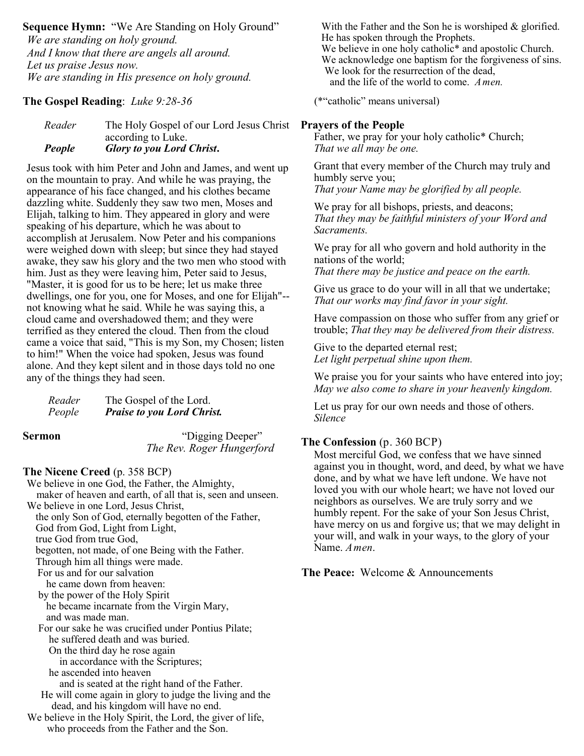**Sequence Hymn:** "We Are Standing on Holy Ground" *We are standing on holy ground. And I know that there are angels all around. Let us praise Jesus now. We are standing in His presence on holy ground.*

#### **The Gospel Reading**: *Luke 9:28-36*

*Reader* The Holy Gospel of our Lord Jesus Christ according to Luke. *People Glory to you Lord Christ***.**

Jesus took with him Peter and John and James, and went up on the mountain to pray. And while he was praying, the appearance of his face changed, and his clothes became dazzling white. Suddenly they saw two men, Moses and Elijah, talking to him. They appeared in glory and were speaking of his departure, which he was about to accomplish at Jerusalem. Now Peter and his companions were weighed down with sleep; but since they had stayed awake, they saw his glory and the two men who stood with him. Just as they were leaving him, Peter said to Jesus, "Master, it is good for us to be here; let us make three dwellings, one for you, one for Moses, and one for Elijah"- not knowing what he said. While he was saying this, a cloud came and overshadowed them; and they were terrified as they entered the cloud. Then from the cloud came a voice that said, "This is my Son, my Chosen; listen to him!" When the voice had spoken, Jesus was found alone. And they kept silent and in those days told no one any of the things they had seen.

| Reader | The Gospel of the Lord.           |
|--------|-----------------------------------|
| People | <b>Praise to you Lord Christ.</b> |

**Sermon** "Digging Deeper" *The Rev. Roger Hungerford*

#### **The Nicene Creed** (p. 358 BCP)

We believe in one God, the Father, the Almighty, maker of heaven and earth, of all that is, seen and unseen. We believe in one Lord, Jesus Christ, the only Son of God, eternally begotten of the Father, God from God, Light from Light, true God from true God, begotten, not made, of one Being with the Father. Through him all things were made. For us and for our salvation he came down from heaven: by the power of the Holy Spirit he became incarnate from the Virgin Mary, and was made man. For our sake he was crucified under Pontius Pilate; he suffered death and was buried. On the third day he rose again in accordance with the Scriptures; he ascended into heaven and is seated at the right hand of the Father. He will come again in glory to judge the living and the dead, and his kingdom will have no end. We believe in the Holy Spirit, the Lord, the giver of life, who proceeds from the Father and the Son.

With the Father and the Son he is worshiped & glorified. He has spoken through the Prophets. We believe in one holy catholic<sup>\*</sup> and apostolic Church. We acknowledge one baptism for the forgiveness of sins. We look for the resurrection of the dead, and the life of the world to come. *Amen.*

(\*"catholic" means universal)

#### **Prayers of the People**

Father, we pray for your holy catholic\* Church; *That we all may be one.*

Grant that every member of the Church may truly and humbly serve you; *That your Name may be glorified by all people.*

We pray for all bishops, priests, and deacons; *That they may be faithful ministers of your Word and Sacraments.*

We pray for all who govern and hold authority in the nations of the world; *That there may be justice and peace on the earth.*

Give us grace to do your will in all that we undertake; *That our works may find favor in your sight.*

Have compassion on those who suffer from any grief or trouble; *That they may be delivered from their distress.*

Give to the departed eternal rest; *Let light perpetual shine upon them.*

We praise you for your saints who have entered into joy; *May we also come to share in your heavenly kingdom.*

Let us pray for our own needs and those of others. *Silence*

## **The Confession** (p. 360 BCP)

Most merciful God, we confess that we have sinned against you in thought, word, and deed, by what we have done, and by what we have left undone. We have not loved you with our whole heart; we have not loved our neighbors as ourselves. We are truly sorry and we humbly repent. For the sake of your Son Jesus Christ, have mercy on us and forgive us; that we may delight in your will, and walk in your ways, to the glory of your Name. *Amen*.

**The Peace:** Welcome & Announcements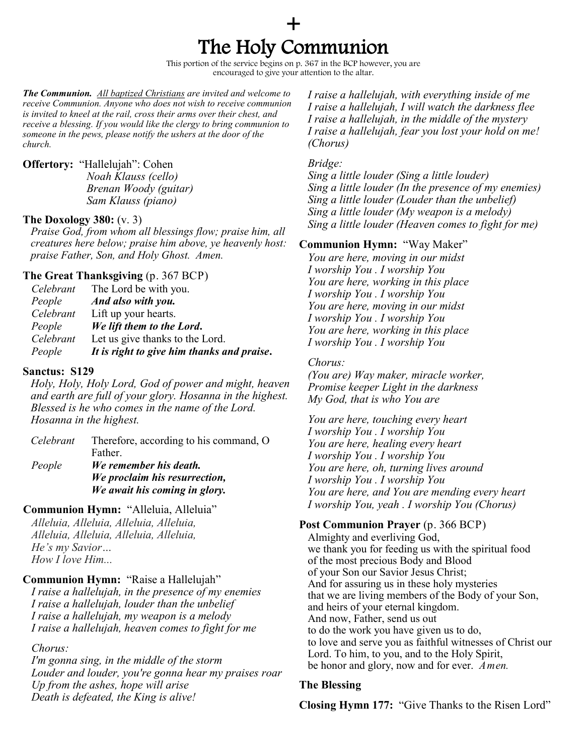# + The Holy Communion

This portion of the service begins on p. 367 in the BCP however, you are encouraged to give your attention to the altar.

*The Communion. All baptized Christians are invited and welcome to receive Communion. Anyone who does not wish to receive communion is invited to kneel at the rail, cross their arms over their chest, and receive a blessing. If you would like the clergy to bring communion to someone in the pews, please notify the ushers at the door of the church.* 

#### **Offertory:** "Hallelujah": Cohen *Noah Klauss (cello) Brenan Woody (guitar) Sam Klauss (piano)*

#### **The Doxology 380:** (v. 3)

*Praise God, from whom all blessings flow; praise him, all creatures here below; praise him above, ye heavenly host: praise Father, Son, and Holy Ghost. Amen.*

## **The Great Thanksgiving** (p. 367 BCP)

| Celebrant | The Lord be with you.                      |
|-----------|--------------------------------------------|
| People    | And also with you.                         |
| Celebrant | Lift up your hearts.                       |
| People    | We lift them to the Lord.                  |
| Celebrant | Let us give thanks to the Lord.            |
| People    | It is right to give him thanks and praise. |

#### **Sanctus: S129**

*Holy, Holy, Holy Lord, God of power and might, heaven and earth are full of your glory. Hosanna in the highest. Blessed is he who comes in the name of the Lord. Hosanna in the highest.* 

*Celebrant* Therefore, according to his command, O Father. *People We remember his death. We proclaim his resurrection, We await his coming in glory.*

## **Communion Hymn:** "Alleluia, Alleluia"

*Alleluia, Alleluia, Alleluia, Alleluia, Alleluia, Alleluia, Alleluia, Alleluia, He's my Savior… How I love Him...*

## **Communion Hymn:** "Raise a Hallelujah"

*I raise a hallelujah, in the presence of my enemies I raise a hallelujah, louder than the unbelief I raise a hallelujah, my weapon is a melody I raise a hallelujah, heaven comes to fight for me*

#### *Chorus:*

*I'm gonna sing, in the middle of the storm Louder and louder, you're gonna hear my praises roar Up from the ashes, hope will arise Death is defeated, the King is alive!*

*I raise a hallelujah, with everything inside of me I raise a hallelujah, I will watch the darkness flee I raise a hallelujah, in the middle of the mystery I raise a hallelujah, fear you lost your hold on me! (Chorus)*

#### *Bridge:*

*Sing a little louder (Sing a little louder) Sing a little louder (In the presence of my enemies) Sing a little louder (Louder than the unbelief) Sing a little louder (My weapon is a melody) Sing a little louder (Heaven comes to fight for me)* 

#### **Communion Hymn:** "Way Maker"

*You are here, moving in our midst I worship You . I worship You You are here, working in this place I worship You . I worship You You are here, moving in our midst I worship You . I worship You You are here, working in this place I worship You . I worship You*

#### *Chorus:*

*(You are) Way maker, miracle worker, Promise keeper Light in the darkness My God, that is who You are*

*You are here, touching every heart I worship You . I worship You You are here, healing every heart I worship You . I worship You You are here, oh, turning lives around I worship You . I worship You You are here, and You are mending every heart I worship You, yeah . I worship You (Chorus)*

## **Post Communion Prayer** (p. 366 BCP)

Almighty and everliving God, we thank you for feeding us with the spiritual food of the most precious Body and Blood of your Son our Savior Jesus Christ; And for assuring us in these holy mysteries that we are living members of the Body of your Son, and heirs of your eternal kingdom. And now, Father, send us out to do the work you have given us to do, to love and serve you as faithful witnesses of Christ our Lord. To him, to you, and to the Holy Spirit, be honor and glory, now and for ever. *Amen.*

## **The Blessing**

**Closing Hymn 177:** "Give Thanks to the Risen Lord"